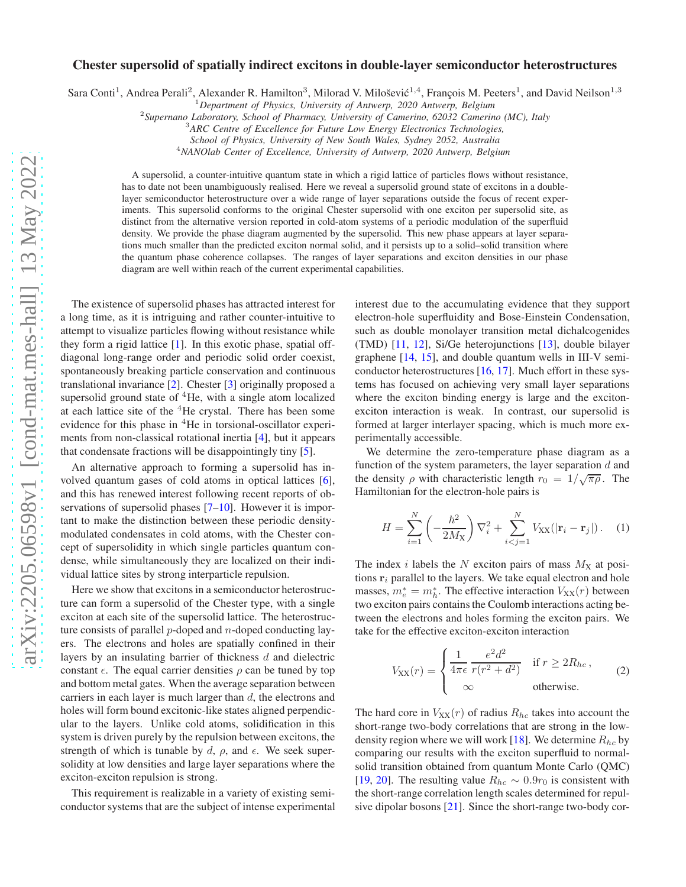## Chester supersolid of spatially indirect excitons in double-layer semiconductor heterostructures

Sara Conti<sup>1</sup>, Andrea Perali<sup>2</sup>, Alexander R. Hamilton<sup>3</sup>, Milorad V. Milošević<sup>1,4</sup>, François M. Peeters<sup>1</sup>, and David Neilson<sup>1,3</sup>

<sup>1</sup>*Department of Physics, University of Antwerp, 2020 Antwerp, Belgium*

2 *Supernano Laboratory, School of Pharmacy, University of Camerino, 62032 Camerino (MC), Italy*

<sup>3</sup>*ARC Centre of Excellence for Future Low Energy Electronics Technologies,*

*School of Physics, University of New South Wales, Sydney 2052, Australia*

<sup>4</sup>*NANOlab Center of Excellence, University of Antwerp, 2020 Antwerp, Belgium*

A supersolid, a counter-intuitive quantum state in which a rigid lattice of particles flows without resistance, has to date not been unambiguously realised. Here we reveal a supersolid ground state of excitons in a doublelayer semiconductor heterostructure over a wide range of layer separations outside the focus of recent experiments. This supersolid conforms to the original Chester supersolid with one exciton per supersolid site, as distinct from the alternative version reported in cold-atom systems of a periodic modulation of the superfluid density. We provide the phase diagram augmented by the supersolid. This new phase appears at layer separations much smaller than the predicted exciton normal solid, and it persists up to a solid–solid transition where the quantum phase coherence collapses. The ranges of layer separations and exciton densities in our phase diagram are well within reach of the current experimental capabilities.

The existence of supersolid phases has attracted interest for a long time, as it is intriguing and rather counter-intuitive to attempt to visualize particles flowing without resistance while they form a rigid lattice [\[1](#page-4-0)]. In this exotic phase, spatial offdiagonal long-range order and periodic solid order coexist, spontaneously breaking particle conservation and continuous translational invariance [\[2\]](#page-4-1). Chester [\[3](#page-4-2)] originally proposed a supersolid ground state of  ${}^{4}$ He, with a single atom localized at each lattice site of the <sup>4</sup>He crystal. There has been some evidence for this phase in <sup>4</sup>He in torsional-oscillator experiments from non-classical rotational inertia [\[4\]](#page-4-3), but it appears that condensate fractions will be disappointingly tiny [\[5](#page-4-4)].

An alternative approach to forming a supersolid has involved quantum gases of cold atoms in optical lattices [\[6](#page-4-5)], and this has renewed interest following recent reports of ob-servations of supersolid phases [\[7](#page-4-6)[–10\]](#page-4-7). However it is important to make the distinction between these periodic densitymodulated condensates in cold atoms, with the Chester concept of supersolidity in which single particles quantum condense, while simultaneously they are localized on their individual lattice sites by strong interparticle repulsion.

Here we show that excitons in a semiconductor heterostructure can form a supersolid of the Chester type, with a single exciton at each site of the supersolid lattice. The heterostructure consists of parallel  $p$ -doped and  $n$ -doped conducting layers. The electrons and holes are spatially confined in their layers by an insulating barrier of thickness d and dielectric constant  $\epsilon$ . The equal carrier densities  $\rho$  can be tuned by top and bottom metal gates. When the average separation between carriers in each layer is much larger than  $d$ , the electrons and holes will form bound excitonic-like states aligned perpendicular to the layers. Unlike cold atoms, solidification in this system is driven purely by the repulsion between excitons, the strength of which is tunable by d,  $\rho$ , and  $\epsilon$ . We seek supersolidity at low densities and large layer separations where the exciton-exciton repulsion is strong.

This requirement is realizable in a variety of existing semiconductor systems that are the subject of intense experimental interest due to the accumulating evidence that they support electron-hole superfluidity and Bose-Einstein Condensation, such as double monolayer transition metal dichalcogenides (TMD) [\[11,](#page-4-8) [12\]](#page-4-9), Si/Ge heterojunctions [\[13\]](#page-4-10), double bilayer graphene [\[14](#page-4-11), [15\]](#page-4-12), and double quantum wells in III-V semiconductor heterostructures  $[16, 17]$  $[16, 17]$ . Much effort in these systems has focused on achieving very small layer separations where the exciton binding energy is large and the excitonexciton interaction is weak. In contrast, our supersolid is formed at larger interlayer spacing, which is much more experimentally accessible.

We determine the zero-temperature phase diagram as a function of the system parameters, the layer separation  $d$  and the density  $\rho$  with characteristic length  $r_0 = 1/\sqrt{\pi \rho}$ . The Hamiltonian for the electron-hole pairs is

$$
H = \sum_{i=1}^{N} \left( -\frac{\hbar^2}{2M_X} \right) \nabla_i^2 + \sum_{i < j = 1}^{N} V_{XX} (|\mathbf{r}_i - \mathbf{r}_j|) \,. \tag{1}
$$

The index i labels the N exciton pairs of mass  $M_X$  at positions  $r_i$  parallel to the layers. We take equal electron and hole masses,  $m_e^* = m_h^*$ . The effective interaction  $V_{XX}(r)$  between two exciton pairs contains the Coulomb interactions acting between the electrons and holes forming the exciton pairs. We take for the effective exciton-exciton interaction

<span id="page-0-0"></span>
$$
V_{\text{XX}}(r) = \begin{cases} \frac{1}{4\pi\epsilon} \frac{e^2 d^2}{r(r^2 + d^2)} & \text{if } r \ge 2R_{hc},\\ \infty & \text{otherwise.} \end{cases}
$$
 (2)

The hard core in  $V_{XX}(r)$  of radius  $R_{hc}$  takes into account the short-range two-body correlations that are strong in the low-density region where we will work [\[18](#page-4-15)]. We determine  $R_{hc}$  by comparing our results with the exciton superfluid to normalsolid transition obtained from quantum Monte Carlo (QMC) [\[19](#page-4-16), [20\]](#page-4-17). The resulting value  $R_{hc} \sim 0.9r_0$  is consistent with the short-range correlation length scales determined for repulsive dipolar bosons [\[21\]](#page-4-18). Since the short-range two-body cor-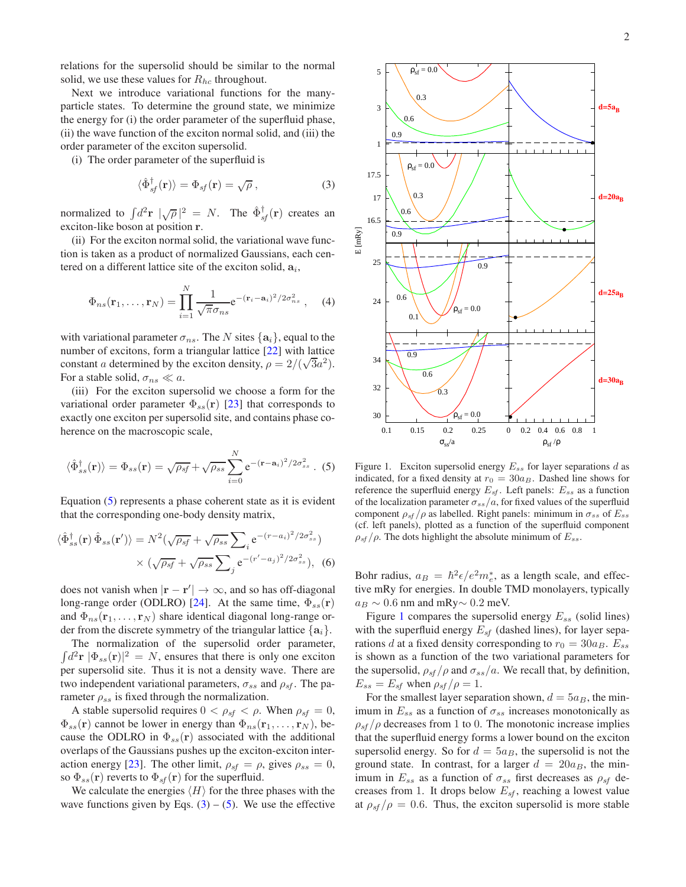2

relations for the supersolid should be similar to the normal solid, we use these values for  $R_{hc}$  throughout.

Next we introduce variational functions for the manyparticle states. To determine the ground state, we minimize the energy for (i) the order parameter of the superfluid phase, (ii) the wave function of the exciton normal solid, and (iii) the order parameter of the exciton supersolid.

(i) The order parameter of the superfluid is

<span id="page-1-1"></span>
$$
\langle \hat{\Phi}_{sf}^{\dagger}(\mathbf{r}) \rangle = \Phi_{sf}(\mathbf{r}) = \sqrt{\rho} , \qquad (3)
$$

normalized to  $\int d^2 \mathbf{r} \, |\sqrt{\rho}|^2 = N$ . The  $\hat{\Phi}^{\dagger}_{sf}(\mathbf{r})$  creates an exciton-like boson at position r.

(ii) For the exciton normal solid, the variational wave function is taken as a product of normalized Gaussians, each centered on a different lattice site of the exciton solid,  $a_i$ ,

$$
\Phi_{ns}(\mathbf{r}_1,\ldots,\mathbf{r}_N)=\prod_{i=1}^N\frac{1}{\sqrt{\pi}\sigma_{ns}}e^{-(\mathbf{r}_i-\mathbf{a}_i)^2/2\sigma_{ns}^2}\,,\quad (4)
$$

with variational parameter  $\sigma_{ns}$ . The N sites  $\{a_i\}$ , equal to the number of excitons, form a triangular lattice [\[22](#page-4-19)] with lattice constant a determined by the exciton density,  $\rho = 2/(\sqrt{3}a^2)$ . For a stable solid,  $\sigma_{ns} \ll a$ .

(iii) For the exciton supersolid we choose a form for the variational order parameter  $\Phi_{ss}(\mathbf{r})$  [\[23\]](#page-4-20) that corresponds to exactly one exciton per supersolid site, and contains phase coherence on the macroscopic scale,

<span id="page-1-0"></span>
$$
\langle \hat{\Phi}_{ss}^{\dagger}(\mathbf{r}) \rangle = \Phi_{ss}(\mathbf{r}) = \sqrt{\rho_{sf}} + \sqrt{\rho_{ss}} \sum_{i=0}^{N} e^{-(\mathbf{r} - \mathbf{a}_i)^2/2\sigma_{ss}^2} .
$$
 (5)

Equation [\(5\)](#page-1-0) represents a phase coherent state as it is evident that the corresponding one-body density matrix,

$$
\langle \hat{\Phi}_{ss}^{\dagger}(\mathbf{r}) \hat{\Phi}_{ss}(\mathbf{r}') \rangle = N^2 (\sqrt{\rho_{sf}} + \sqrt{\rho_{ss}} \sum_{i} e^{-(r-a_i)^2/2\sigma_{ss}^2})
$$

$$
\times (\sqrt{\rho_{sf}} + \sqrt{\rho_{ss}} \sum_{j} e^{-(r'-a_j)^2/2\sigma_{ss}^2}), \quad (6)
$$

does not vanish when  $|\mathbf{r} - \mathbf{r}'| \to \infty$ , and so has off-diagonal long-range order (ODLRO) [\[24\]](#page-4-21). At the same time,  $\Phi_{ss}(\mathbf{r})$ and  $\Phi_{ns}(\mathbf{r}_1,\ldots,\mathbf{r}_N)$  share identical diagonal long-range order from the discrete symmetry of the triangular lattice  $\{a_i\}$ .

The normalization of the supersolid order parameter,  $\int d^2 \mathbf{r} \, |\Phi_{ss}(\mathbf{r})|^2 = N$ , ensures that there is only one exciton per supersolid site. Thus it is not a density wave. There are two independent variational parameters,  $\sigma_{ss}$  and  $\rho_{sf}$ . The parameter  $\rho_{ss}$  is fixed through the normalization.

A stable supersolid requires  $0 < \rho_{sf} < \rho$ . When  $\rho_{sf} = 0$ ,  $\Phi_{ss}(\mathbf{r})$  cannot be lower in energy than  $\Phi_{ns}(\mathbf{r}_1,\ldots,\mathbf{r}_N)$ , because the ODLRO in  $\Phi_{ss}(\mathbf{r})$  associated with the additional overlaps of the Gaussians pushes up the exciton-exciton inter-action energy [\[23\]](#page-4-20). The other limit,  $\rho_{sf} = \rho$ , gives  $\rho_{ss} = 0$ , so  $\Phi_{ss}(\mathbf{r})$  reverts to  $\Phi_{sf}(\mathbf{r})$  for the superfluid.

We calculate the energies  $\langle H \rangle$  for the three phases with the wave functions given by Eqs.  $(3) - (5)$  $(3) - (5)$ . We use the effective



<span id="page-1-2"></span>Figure 1. Exciton supersolid energy  $E_{ss}$  for layer separations d as indicated, for a fixed density at  $r_0 = 30a_B$ . Dashed line shows for reference the superfluid energy  $E_{sf}$ . Left panels:  $E_{ss}$  as a function of the localization parameter  $\sigma_{ss}/a$ , for fixed values of the superfluid component  $\rho_{sf}/\rho$  as labelled. Right panels: minimum in  $\sigma_{ss}$  of  $E_{ss}$ (cf. left panels), plotted as a function of the superfluid component  $\rho_{sf}/\rho$ . The dots highlight the absolute minimum of  $E_{ss}$ .

Bohr radius,  $a_B = \hbar^2 \epsilon / e^2 m_e^*$ , as a length scale, and effective mRy for energies. In double TMD monolayers, typically  $a_B \sim 0.6$  nm and mRy $\sim 0.2$  meV.

Figure [1](#page-1-2) compares the supersolid energy  $E_{ss}$  (solid lines) with the superfluid energy  $E_{sf}$  (dashed lines), for layer separations d at a fixed density corresponding to  $r_0 = 30a_B$ .  $E_{ss}$ is shown as a function of the two variational parameters for the supersolid,  $\rho_{sf}/\rho$  and  $\sigma_{ss}/a$ . We recall that, by definition,  $E_{ss} = E_{sf}$  when  $\rho_{sf}/\rho = 1$ .

For the smallest layer separation shown,  $d = 5a_B$ , the minimum in  $E_{ss}$  as a function of  $\sigma_{ss}$  increases monotonically as  $\rho_{\rm sf}/\rho$  decreases from 1 to 0. The monotonic increase implies that the superfluid energy forms a lower bound on the exciton supersolid energy. So for  $d = 5a_B$ , the supersolid is not the ground state. In contrast, for a larger  $d = 20a_B$ , the minimum in  $E_{ss}$  as a function of  $\sigma_{ss}$  first decreases as  $\rho_{sf}$  decreases from 1. It drops below  $E_{sf}$ , reaching a lowest value at  $\rho_{sf}/\rho = 0.6$ . Thus, the exciton supersolid is more stable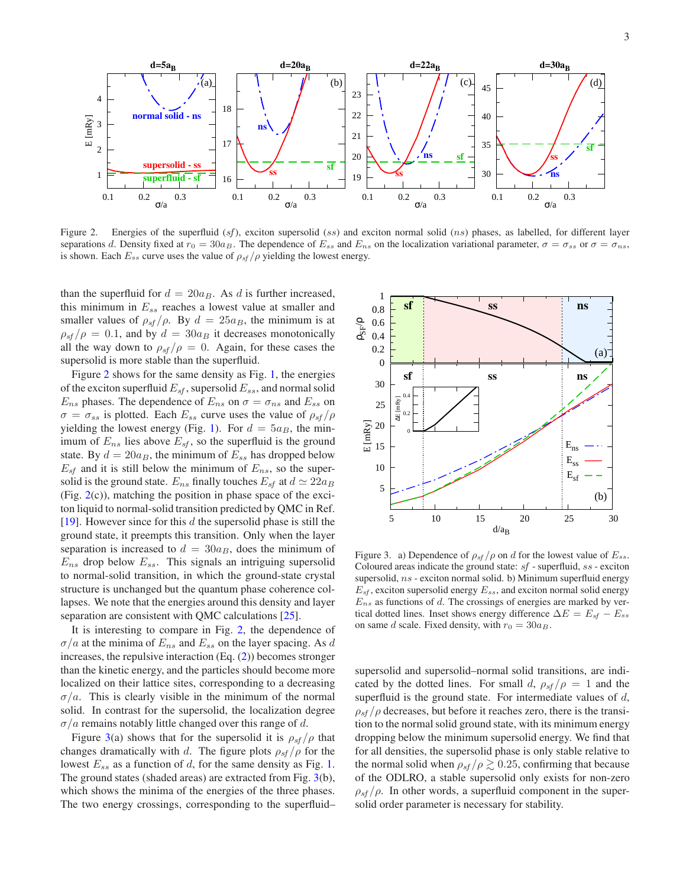

<span id="page-2-0"></span>Figure 2. Energies of the superfluid  $(sf)$ , exciton supersolid  $(ss)$  and exciton normal solid  $(ns)$  phases, as labelled, for different layer separations d. Density fixed at  $r_0 = 30a_B$ . The dependence of  $E_{ss}$  and  $E_{ns}$  on the localization variational parameter,  $\sigma = \sigma_{ss}$  or  $\sigma = \sigma_{ns}$ , is shown. Each  $E_{ss}$  curve uses the value of  $\rho_{sf}/\rho$  yielding the lowest energy.

than the superfluid for  $d = 20a_B$ . As d is further increased, this minimum in  $E_{ss}$  reaches a lowest value at smaller and smaller values of  $\rho_{sf}/\rho$ . By  $d = 25a_B$ , the minimum is at  $\rho_{\text{sf}}/\rho = 0.1$ , and by  $d = 30a_B$  it decreases monotonically all the way down to  $\rho_{sf}/\rho = 0$ . Again, for these cases the supersolid is more stable than the superfluid.

Figure [2](#page-2-0) shows for the same density as Fig. [1,](#page-1-2) the energies of the exciton superfluid  $E_{sf}$ , supersolid  $E_{ss}$ , and normal solid  $E_{ns}$  phases. The dependence of  $E_{ns}$  on  $\sigma = \sigma_{ns}$  and  $E_{ss}$  on  $\sigma = \sigma_{ss}$  is plotted. Each  $E_{ss}$  curve uses the value of  $\rho_{sf}/\rho$ yielding the lowest energy (Fig. [1\)](#page-1-2). For  $d = 5a_B$ , the minimum of  $E_{ns}$  lies above  $E_{sf}$ , so the superfluid is the ground state. By  $d = 20a_B$ , the minimum of  $E_{ss}$  has dropped below  $E_{sf}$  and it is still below the minimum of  $E_{ns}$ , so the supersolid is the ground state.  $E_{ns}$  finally touches  $E_{sf}$  at  $d \simeq 22a_B$ (Fig.  $2(c)$  $2(c)$ ), matching the position in phase space of the exciton liquid to normal-solid transition predicted by QMC in Ref. [\[19](#page-4-16)]. However since for this  $d$  the supersolid phase is still the ground state, it preempts this transition. Only when the layer separation is increased to  $d = 30a_B$ , does the minimum of  $E_{ns}$  drop below  $E_{ss}$ . This signals an intriguing supersolid to normal-solid transition, in which the ground-state crystal structure is unchanged but the quantum phase coherence collapses. We note that the energies around this density and layer separation are consistent with QMC calculations [\[25](#page-4-22)].

It is interesting to compare in Fig. [2,](#page-2-0) the dependence of  $\sigma/a$  at the minima of  $E_{ns}$  and  $E_{ss}$  on the layer spacing. As d increases, the repulsive interaction (Eq. [\(2\)](#page-0-0)) becomes stronger than the kinetic energy, and the particles should become more localized on their lattice sites, corresponding to a decreasing  $\sigma/a$ . This is clearly visible in the minimum of the normal solid. In contrast for the supersolid, the localization degree  $\sigma/a$  remains notably little changed over this range of d.

Figure [3\(](#page-2-1)a) shows that for the supersolid it is  $\rho_{sf}/\rho$  that changes dramatically with d. The figure plots  $\rho_{sf}/\rho$  for the lowest  $E_{ss}$  as a function of d, for the same density as Fig. [1.](#page-1-2) The ground states (shaded areas) are extracted from Fig. [3\(](#page-2-1)b), which shows the minima of the energies of the three phases. The two energy crossings, corresponding to the superfluid–



<span id="page-2-1"></span>Figure 3. a) Dependence of  $\rho_{sf}/\rho$  on d for the lowest value of  $E_{ss}$ . Coloured areas indicate the ground state: sf - superfluid, ss - exciton supersolid, ns - exciton normal solid. b) Minimum superfluid energy  $E_{sf}$ , exciton supersolid energy  $E_{ss}$ , and exciton normal solid energy  $E_{ns}$  as functions of  $d$ . The crossings of energies are marked by vertical dotted lines. Inset shows energy difference  $\Delta E = E_{sf} - E_{ss}$ on same d scale. Fixed density, with  $r_0 = 30a_B$ .

supersolid and supersolid–normal solid transitions, are indicated by the dotted lines. For small d,  $\rho_{sf}/\rho = 1$  and the superfluid is the ground state. For intermediate values of  $d$ ,  $\rho_{\rm sf}/\rho$  decreases, but before it reaches zero, there is the transition to the normal solid ground state, with its minimum energy dropping below the minimum supersolid energy. We find that for all densities, the supersolid phase is only stable relative to the normal solid when  $\rho_{sf}/\rho \gtrsim 0.25$ , confirming that because of the ODLRO, a stable supersolid only exists for non-zero  $\rho_{\rm sf}/\rho$ . In other words, a superfluid component in the supersolid order parameter is necessary for stability.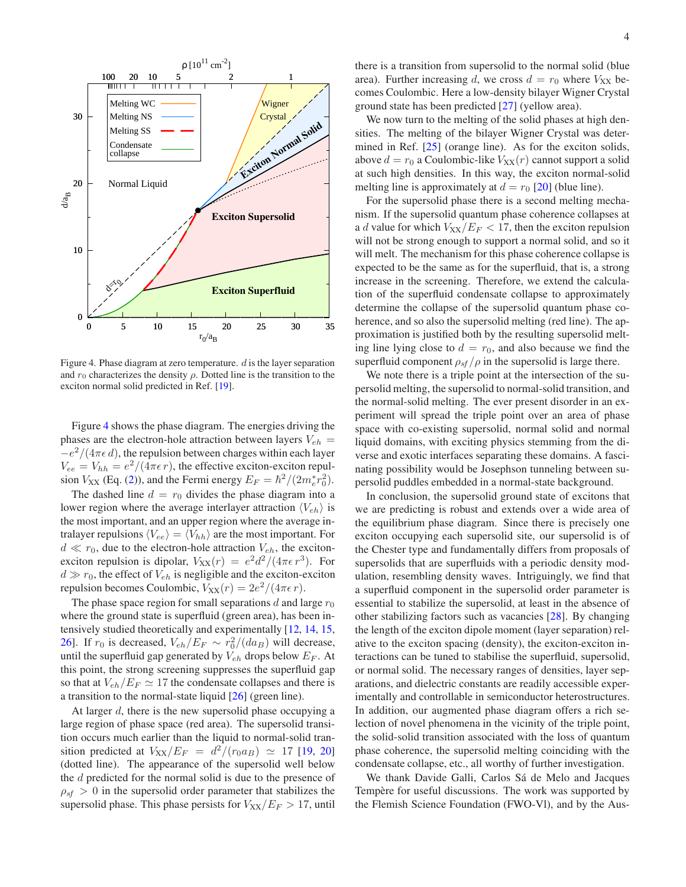

<span id="page-3-0"></span>Figure 4. Phase diagram at zero temperature.  $d$  is the layer separation and  $r_0$  characterizes the density  $\rho$ . Dotted line is the transition to the exciton normal solid predicted in Ref. [\[19](#page-4-16)].

Figure [4](#page-3-0) shows the phase diagram. The energies driving the phases are the electron-hole attraction between layers  $V_{eh}$  =  $-e^2/(4\pi\epsilon d)$ , the repulsion between charges within each layer  $V_{ee} = V_{hh} = e^2/(4\pi\epsilon r)$ , the effective exciton-exciton repulsion  $V_{XX}$  (Eq. [\(2\)](#page-0-0)), and the Fermi energy  $E_F = \hbar^2/(2m_e^*r_0^2)$ .

The dashed line  $d = r_0$  divides the phase diagram into a lower region where the average interlayer attraction  $\langle V_{eh} \rangle$  is the most important, and an upper region where the average intralayer repulsions  $\langle V_{ee} \rangle = \langle V_{hh} \rangle$  are the most important. For  $d \ll r_0$ , due to the electron-hole attraction  $V_{eh}$ , the excitonexciton repulsion is dipolar,  $V_{XX}(r) = e^2 d^2/(4\pi\epsilon r^3)$ . For  $d \gg r_0$ , the effect of  $V_{eh}$  is negligible and the exciton-exciton repulsion becomes Coulombic,  $V_{XX}(r) = 2e^2/(4\pi\epsilon r)$ .

The phase space region for small separations d and large  $r_0$ where the ground state is superfluid (green area), has been intensively studied theoretically and experimentally [\[12](#page-4-9), [14,](#page-4-11) [15,](#page-4-12) [26\]](#page-4-23). If  $r_0$  is decreased,  $V_{eh}/E_F \sim r_0^2/(da_B)$  will decrease, until the superfluid gap generated by  $V_{eh}$  drops below  $E_F$ . At this point, the strong screening suppresses the superfluid gap so that at  $V_{eh}/E_F \simeq 17$  the condensate collapses and there is a transition to the normal-state liquid [\[26](#page-4-23)] (green line).

At larger d, there is the new supersolid phase occupying a large region of phase space (red area). The supersolid transition occurs much earlier than the liquid to normal-solid transition predicted at  $V_{XX}/E_F = d^2/(r_0 a_B) \approx 17$  [\[19](#page-4-16), [20\]](#page-4-17) (dotted line). The appearance of the supersolid well below the d predicted for the normal solid is due to the presence of  $\rho_{\rm sf} > 0$  in the supersolid order parameter that stabilizes the supersolid phase. This phase persists for  $V_{XX}/E_F > 17$ , until

there is a transition from supersolid to the normal solid (blue area). Further increasing d, we cross  $d = r_0$  where  $V_{XX}$  becomes Coulombic. Here a low-density bilayer Wigner Crystal ground state has been predicted [\[27\]](#page-4-24) (yellow area).

We now turn to the melting of the solid phases at high densities. The melting of the bilayer Wigner Crystal was determined in Ref. [\[25\]](#page-4-22) (orange line). As for the exciton solids, above  $d = r_0$  a Coulombic-like  $V_{XX}(r)$  cannot support a solid at such high densities. In this way, the exciton normal-solid melting line is approximately at  $d = r_0$  [\[20\]](#page-4-17) (blue line).

For the supersolid phase there is a second melting mechanism. If the supersolid quantum phase coherence collapses at a d value for which  $V_{XX}/E_F < 17$ , then the exciton repulsion will not be strong enough to support a normal solid, and so it will melt. The mechanism for this phase coherence collapse is expected to be the same as for the superfluid, that is, a strong increase in the screening. Therefore, we extend the calculation of the superfluid condensate collapse to approximately determine the collapse of the supersolid quantum phase coherence, and so also the supersolid melting (red line). The approximation is justified both by the resulting supersolid melting line lying close to  $d = r_0$ , and also because we find the superfluid component  $\rho_{sf}/\rho$  in the supersolid is large there.

We note there is a triple point at the intersection of the supersolid melting, the supersolid to normal-solid transition, and the normal-solid melting. The ever present disorder in an experiment will spread the triple point over an area of phase space with co-existing supersolid, normal solid and normal liquid domains, with exciting physics stemming from the diverse and exotic interfaces separating these domains. A fascinating possibility would be Josephson tunneling between supersolid puddles embedded in a normal-state background.

In conclusion, the supersolid ground state of excitons that we are predicting is robust and extends over a wide area of the equilibrium phase diagram. Since there is precisely one exciton occupying each supersolid site, our supersolid is of the Chester type and fundamentally differs from proposals of supersolids that are superfluids with a periodic density modulation, resembling density waves. Intriguingly, we find that a superfluid component in the supersolid order parameter is essential to stabilize the supersolid, at least in the absence of other stabilizing factors such as vacancies [\[28](#page-4-25)]. By changing the length of the exciton dipole moment (layer separation) relative to the exciton spacing (density), the exciton-exciton interactions can be tuned to stabilise the superfluid, supersolid, or normal solid. The necessary ranges of densities, layer separations, and dielectric constants are readily accessible experimentally and controllable in semiconductor heterostructures. In addition, our augmented phase diagram offers a rich selection of novel phenomena in the vicinity of the triple point, the solid-solid transition associated with the loss of quantum phase coherence, the supersolid melting coinciding with the condensate collapse, etc., all worthy of further investigation.

We thank Davide Galli, Carlos Sá de Melo and Jacques Tempère for useful discussions. The work was supported by the Flemish Science Foundation (FWO-Vl), and by the Aus